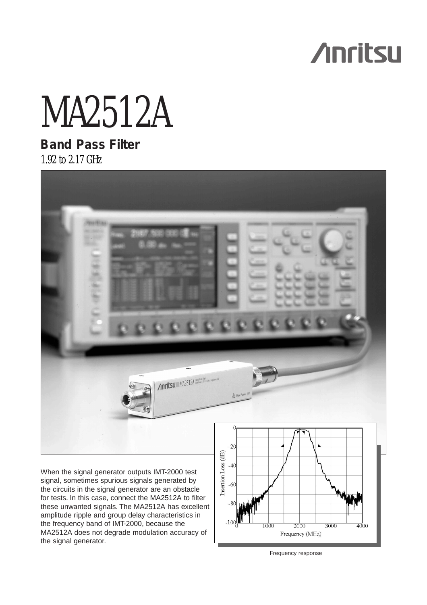# **Anritsu**

# MA2512A

# **Band Pass Filter** 1.92 to 2.17 GHz



signal, sometimes spurious signals generated by the circuits in the signal generator are an obstacle for tests. In this case, connect the MA2512A to filter these unwanted signals. The MA2512A has excellent amplitude ripple and group delay characteristics in the frequency band of IMT-2000, because the MA2512A does not degrade modulation accuracy of the signal generator.



Frequency response